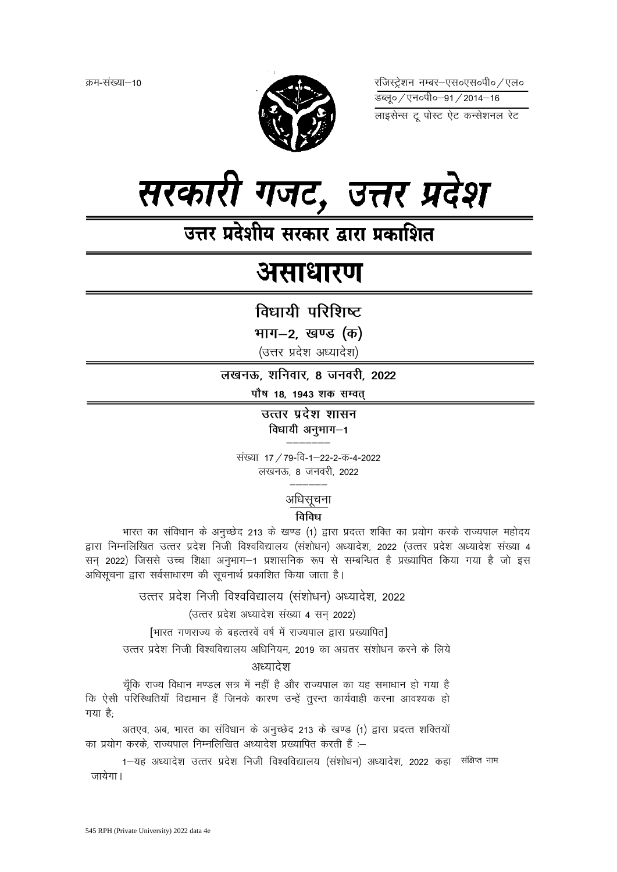

रजिस्ट्रेशन नम्बर–एस०एस०पी०∕एल० लाइसेन्स टू पोस्ट ऐट कन्सेशनल रेट

# सरकारी गजट, उत्तर प्रदेश

## उत्तर प्रदेशीय सरकार द्वारा प्रकाशित

## असाधारण

विधायी परिशिष्ट

भाग–2, खण्ड (क)

(उत्तर प्रदेश अध्यादेश)

लखनऊ, शनिवार, 8 जनवरी, 2022

पौष 18, 1943 शक सम्वत्

उत्तर प्रदेश शासन विधायी अनुभाग-1

संख्या 17 / 79-वि-1–22-2-क-4-2022 लखनऊ, 8 जनवरी, 2022

### अधिसूचना

#### विविध

भारत का संविधान के अनुच्छेद 213 के खण्ड (1) द्वारा प्रदत्त शक्ति का प्रयोग करके राज्यपाल महोदय द्वारा निम्नलिखित उत्तर प्रदेश निजी विश्वविद्यालय (संशोधन) अध्यादेश, 2022 (उत्तर प्रदेश अध्यादेश संख्या 4 सन् 2022) जिससे उच्च शिक्षा अनुभाग-1 प्रशासनिक रूप से सम्बन्धित है प्रख्यापित किया गया है जो इस अधिसूचना द्वारा सर्वसाधारण की सूचनार्थ प्रकाशित किया जाता है।

उत्तर प्रदेश निजी विश्वविद्यालय (संशोधन) अध्यादेश, 2022

(उत्तर प्रदेश अध्यादेश संख्या 4 सन् 2022)

[भारत गणराज्य के बहत्तरवें वर्ष में राज्यपाल द्वारा प्रख्यापित]

उत्तर प्रदेश निजी विश्वविद्यालय अधिनियम. 2019 का अग्रतर संशोधन करने के लिये

#### अध्यादेश

चूँकि राज्य विधान मण्डल सत्र में नहीं है और राज्यपाल का यह समाधान हो गया है कि ऐसी परिस्थितियाँ विद्यमान हैं जिनके कारण उन्हें तुरन्त कार्यवाही करना आवश्यक हो गया है<sup>.</sup>

अतएव, अब, भारत का संविधान के अनुच्छेद 213 के खण्ड (1) द्वारा प्रदत्त शक्तियों का प्रयोग करके. राज्यपाल निम्नलिखित अध्यादेश प्रख्यापित करती हैं :-

1-यह अध्यादेश उत्तर प्रदेश निजी विश्वविद्यालय (संशोधन) अध्यादेश, 2022 कहा संक्षिप्त नाम जायेगा।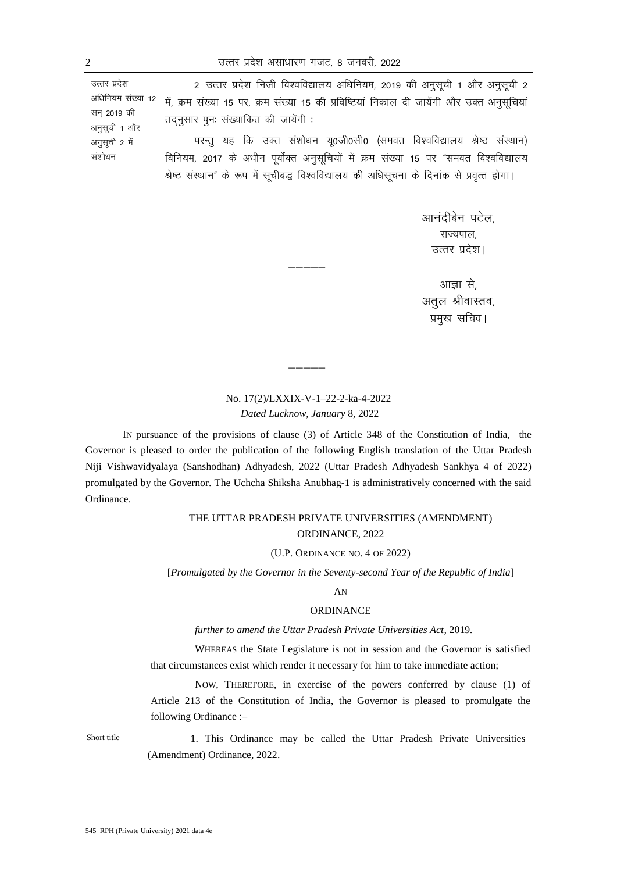उत्तर प्रदेश अधिनियम संख्या 12 सन 2019 की अनुसूची 1 और अनुसूची 2 में संशोधन 2-उत्तर प्रदेश निजी विश्वविद्यालय अधिनियम, 2019 की अनुसूची 1 और अनुसूची 2 में, क्रम संख्या 15 पर, क्रम संख्या 15 की प्रविष्टियां निकाल दी जायेंगी और उक्त अनुसूचियां  $\overline{a}$ तदनसार पनः संख्याकित की जायेंगी: परन्तु यह कि उक्त संशोधन यू0जी0सी0 (समवत विश्वविद्यालय श्रेष्ठ संस्थान) विनियम, 2017 के अधीन पूर्वोक्त अनुसूचियों में क्रम संख्या 15 पर "समवत विश्वविद्यालय श्रेष्ठ संस्थान" के रूप में सूचीबद्ध विश्वविद्यालय की अधिसूचना के दिनांक से प्रवृत्त होगा।

> आनंदीबेन पटेल. राज्यपाल उत्तर प्रदेश।

आज्ञा से. अतूल श्रीवास्तव, प्रमुख सचिव।

#### No. 17(2)/LXXIX-V-1–22-2-ka-4-2022 *Dated Lucknow, January* 8, 2022

 $\overline{\phantom{a}}$ 

————

IN pursuance of the provisions of clause (3) of Article 348 of the Constitution of India, the Governor is pleased to order the publication of the following English translation of the Uttar Pradesh Niji Vishwavidyalaya (Sanshodhan) Adhyadesh, 2022 (Uttar Pradesh Adhyadesh Sankhya 4 of 2022) promulgated by the Governor. The Uchcha Shiksha Anubhag-1 is administratively concerned with the said Ordinance.

#### THE UTTAR PRADESH PRIVATE UNIVERSITIES (AMENDMENT) ORDINANCE, 2022

#### (U.P. ORDINANCE NO. 4 OF 2022)

[*Promulgated by the Governor in the Seventy-second Year of the Republic of India*]

#### AN

#### ORDINANCE

*further to amend the Uttar Pradesh Private Universities Act,* 2019*.*

WHEREAS the State Legislature is not in session and the Governor is satisfied that circumstances exist which render it necessary for him to take immediate action;

NOW, THEREFORE, in exercise of the powers conferred by clause (1) of Article 213 of the Constitution of India, the Governor is pleased to promulgate the following Ordinance :–

Short title 1. This Ordinance may be called the Uttar Pradesh Private Universities (Amendment) Ordinance, 2022.